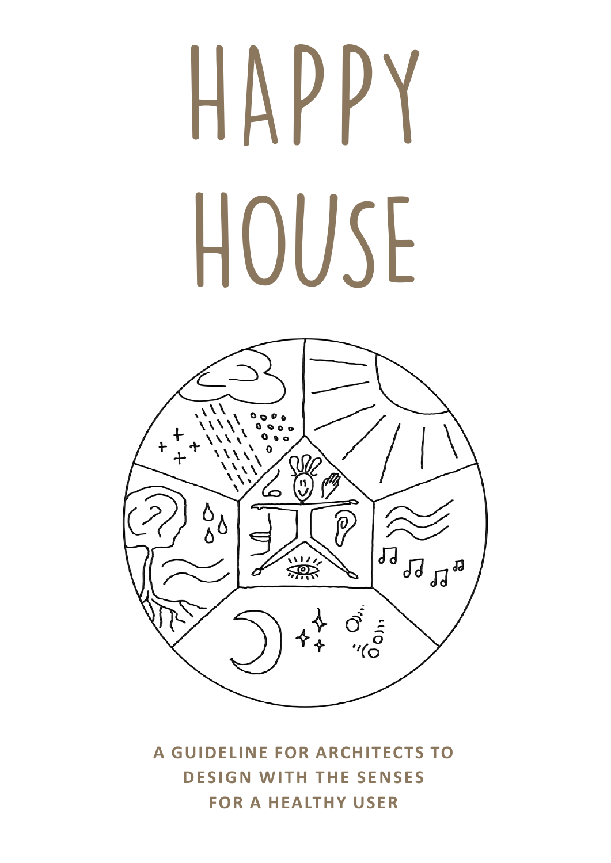# HAPPY HOUSE



**A GUIDELINE FOR ARCHITECTS TO DESIGN WITH THE SENSES FOR A HEALTHY USER**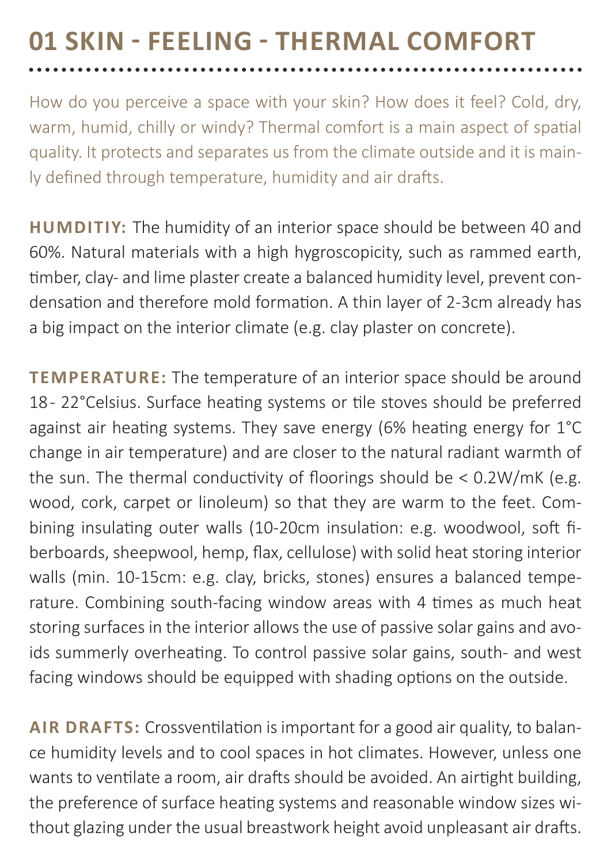### **01 SKIN - FEELING - THERMAL COMFORT**

How do you perceive a space with your skin? How does it feel? Cold, dry, warm, humid, chilly or windy? Thermal comfort is a main aspect of spatial quality. It protects and separates us from the climate outside and it is mainly defined through temperature, humidity and air drafts.

**HUMDITIY:** The humidity of an interior space should be between 40 and 60%. Natural materials with a high hygroscopicity, such as rammed earth, timber, clay- and lime plaster create a balanced humidity level, prevent condensation and therefore mold formation. A thin layer of 2-3cm already has a big impact on the interior climate (e.g. clay plaster on concrete).

**TEMPERATURE:** The temperature of an interior space should be around 18 - 22°Celsius. Surface heating systems or tile stoves should be preferred against air heating systems. They save energy (6% heating energy for 1°C change in air temperature) and are closer to the natural radiant warmth of the sun. The thermal conductivity of floorings should be < 0.2W/mK (e.g. wood, cork, carpet or linoleum) so that they are warm to the feet. Combining insulating outer walls (10-20cm insulation: e.g. woodwool, soft fiberboards, sheepwool, hemp, flax, cellulose) with solid heat storing interior walls (min. 10-15cm: e.g. clay, bricks, stones) ensures a balanced temperature. Combining south-facing window areas with 4 times as much heat storing surfaces in the interior allows the use of passive solar gains and avoids summerly overheating. To control passive solar gains, south- and west facing windows should be equipped with shading options on the outside.

**AIR DRAFTS:** Crossventilation is important for a good air quality, to balance humidity levels and to cool spaces in hot climates. However, unless one wants to ventilate a room, air drafts should be avoided. An airtight building, the preference of surface heating systems and reasonable window sizes without glazing under the usual breastwork height avoid unpleasant air drafts.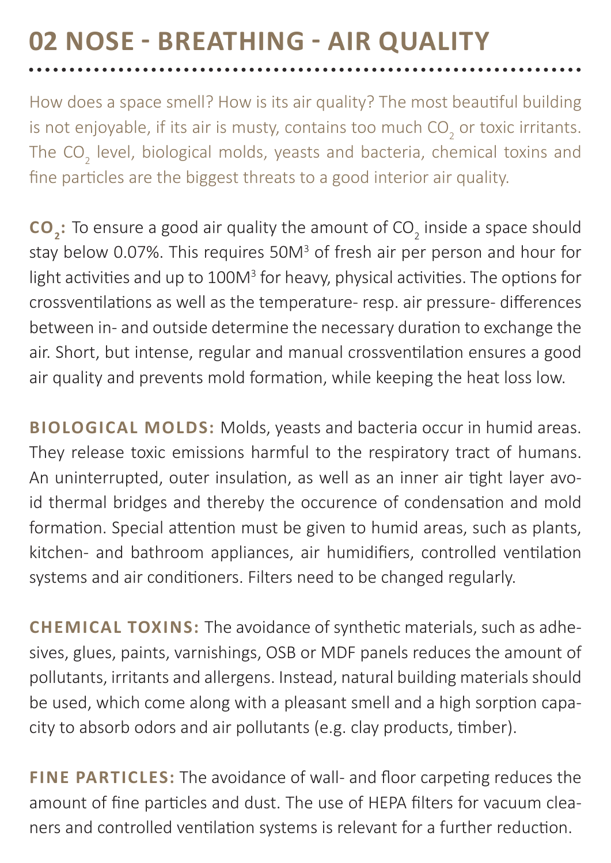### **02 NOSE - BREATHING - AIR QUALITY**  . . . . . . . . . . . . . . .

How does a space smell? How is its air quality? The most beautiful building is not enjoyable, if its air is musty, contains too much CO<sub>2</sub> or toxic irritants. The CO<sub>2</sub> level, biological molds, yeasts and bacteria, chemical toxins and fine particles are the biggest threats to a good interior air quality.

**CO**<sub>2</sub>: To ensure a good air quality the amount of CO<sub>2</sub> inside a space should stay below 0.07%. This requires 50M<sup>3</sup> of fresh air per person and hour for light activities and up to 100M<sup>3</sup> for heavy, physical activities. The options for crossventilations as well as the temperature- resp. air pressure- differences between in- and outside determine the necessary duration to exchange the air. Short, but intense, regular and manual crossventilation ensures a good air quality and prevents mold formation, while keeping the heat loss low.

**BIOLOGICAL MOLDS:** Molds, yeasts and bacteria occur in humid areas. They release toxic emissions harmful to the respiratory tract of humans. An uninterrupted, outer insulation, as well as an inner air tight layer avoid thermal bridges and thereby the occurence of condensation and mold formation. Special attention must be given to humid areas, such as plants, kitchen- and bathroom appliances, air humidifiers, controlled ventilation systems and air conditioners. Filters need to be changed regularly.

**CHEMICAL TOXINS:** The avoidance of synthetic materials, such as adhesives, glues, paints, varnishings, OSB or MDF panels reduces the amount of pollutants, irritants and allergens. Instead, natural building materials should be used, which come along with a pleasant smell and a high sorption capacity to absorb odors and air pollutants (e.g. clay products, timber).

**FINE PARTICLES:** The avoidance of wall- and floor carpeting reduces the amount of fine particles and dust. The use of HEPA filters for vacuum cleaners and controlled ventilation systems is relevant for a further reduction.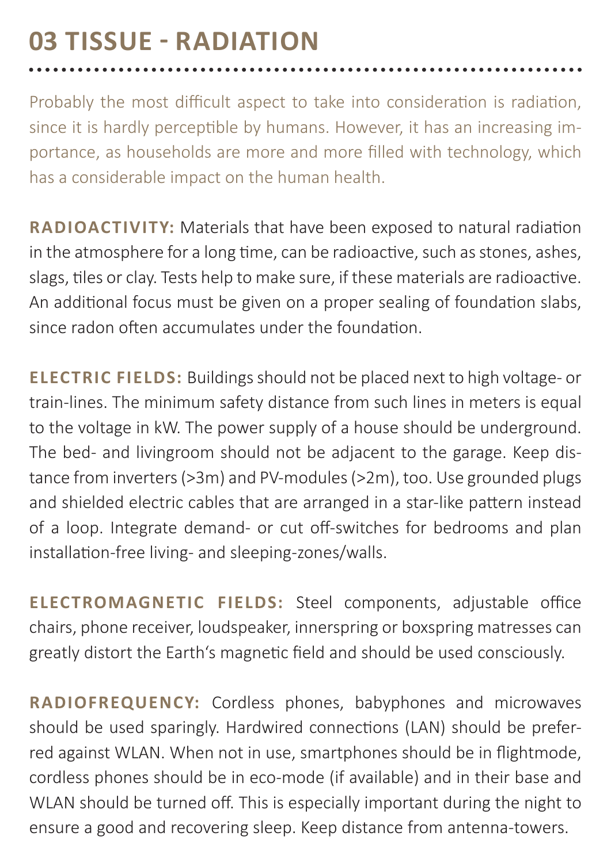## **03 TISSUE - RADIATION**

Probably the most difficult aspect to take into consideration is radiation, since it is hardly perceptible by humans. However, it has an increasing importance, as households are more and more filled with technology, which has a considerable impact on the human health.

**RADIOACTIVITY:** Materials that have been exposed to natural radiation in the atmosphere for a long time, can be radioactive, such as stones, ashes, slags, tiles or clay. Tests help to make sure, if these materials are radioactive. An additional focus must be given on a proper sealing of foundation slabs, since radon often accumulates under the foundation.

**ELECTRIC FIELDS:** Buildings should not be placed next to high voltage- or train-lines. The minimum safety distance from such lines in meters is equal to the voltage in kW. The power supply of a house should be underground. The bed- and livingroom should not be adjacent to the garage. Keep distance from inverters (>3m) and PV-modules (>2m), too. Use grounded plugs and shielded electric cables that are arranged in a star-like pattern instead of a loop. Integrate demand- or cut off-switches for bedrooms and plan installation-free living- and sleeping-zones/walls.

**ELECTROMAGNETIC FIELDS:** Steel components, adjustable office chairs, phone receiver, loudspeaker, innerspring or boxspring matresses can greatly distort the Earth's magnetic field and should be used consciously.

**RADIOFREQUENCY:** Cordless phones, babyphones and microwaves should be used sparingly. Hardwired connections (LAN) should be preferred against WLAN. When not in use, smartphones should be in flightmode, cordless phones should be in eco-mode (if available) and in their base and WLAN should be turned off. This is especially important during the night to ensure a good and recovering sleep. Keep distance from antenna-towers.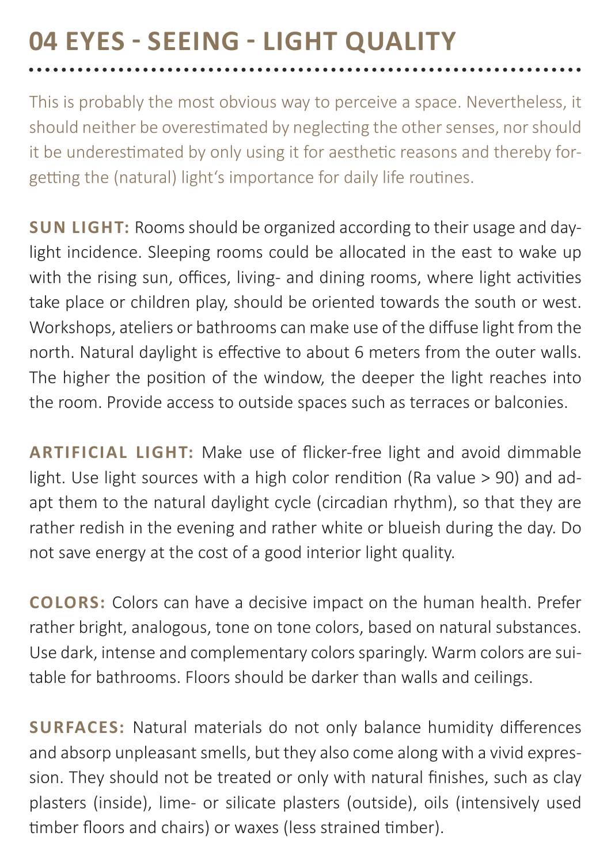# **04 EYES - SEEING - LIGHT QUALITY**

This is probably the most obvious way to perceive a space. Nevertheless, it should neither be overestimated by neglecting the other senses, nor should it be underestimated by only using it for aesthetic reasons and thereby forgetting the (natural) light's importance for daily life routines.

**SUN LIGHT:** Rooms should be organized according to their usage and daylight incidence. Sleeping rooms could be allocated in the east to wake up with the rising sun, offices, living- and dining rooms, where light activities take place or children play, should be oriented towards the south or west. Workshops, ateliers or bathrooms can make use of the diffuse light from the north. Natural daylight is effective to about 6 meters from the outer walls. The higher the position of the window, the deeper the light reaches into the room. Provide access to outside spaces such as terraces or balconies.

**ARTIFICIAL LIGHT:** Make use of flicker-free light and avoid dimmable light. Use light sources with a high color rendition (Ra value > 90) and adapt them to the natural daylight cycle (circadian rhythm), so that they are rather redish in the evening and rather white or blueish during the day. Do not save energy at the cost of a good interior light quality.

**COLORS:** Colors can have a decisive impact on the human health. Prefer rather bright, analogous, tone on tone colors, based on natural substances. Use dark, intense and complementary colors sparingly. Warm colors are suitable for bathrooms. Floors should be darker than walls and ceilings.

**SURFACES:** Natural materials do not only balance humidity differences and absorp unpleasant smells, but they also come along with a vivid expression. They should not be treated or only with natural finishes, such as clay plasters (inside), lime- or silicate plasters (outside), oils (intensively used timber floors and chairs) or waxes (less strained timber).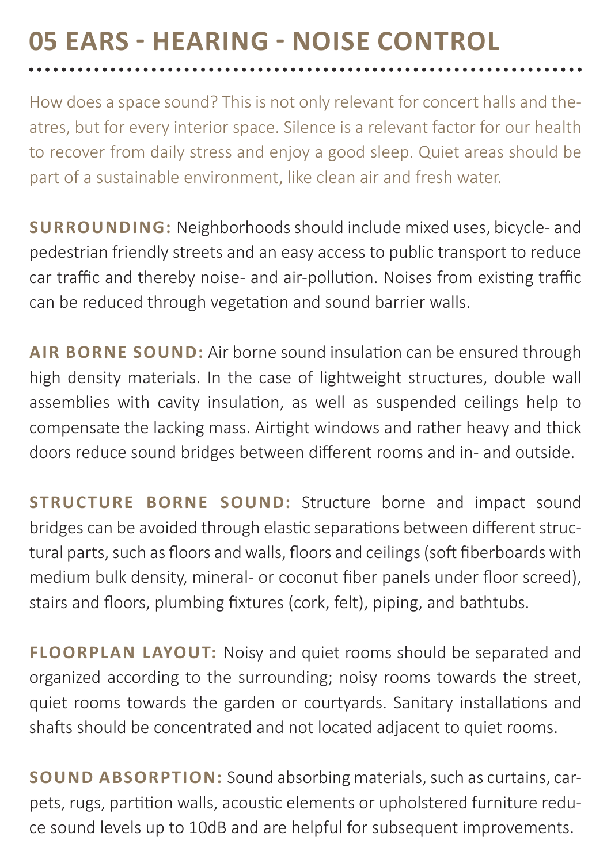### **05 EARS - HEARING - NOISE CONTROL**

How does a space sound? This is not only relevant for concert halls and theatres, but for every interior space. Silence is a relevant factor for our health to recover from daily stress and enjoy a good sleep. Quiet areas should be part of a sustainable environment, like clean air and fresh water.

**SURROUNDING:** Neighborhoods should include mixed uses, bicycle- and pedestrian friendly streets and an easy access to public transport to reduce car traffic and thereby noise- and air-pollution. Noises from existing traffic can be reduced through vegetation and sound barrier walls.

**AIR BORNE SOUND:** Air borne sound insulation can be ensured through high density materials. In the case of lightweight structures, double wall assemblies with cavity insulation, as well as suspended ceilings help to compensate the lacking mass. Airtight windows and rather heavy and thick doors reduce sound bridges between different rooms and in- and outside.

**STRUCTURE BORNE SOUND:** Structure borne and impact sound bridges can be avoided through elastic separations between different structural parts, such as floors and walls, floors and ceilings (soft fiberboards with medium bulk density, mineral- or coconut fiber panels under floor screed), stairs and floors, plumbing fixtures (cork, felt), piping, and bathtubs.

**FLOORPLAN LAYOUT:** Noisy and quiet rooms should be separated and organized according to the surrounding; noisy rooms towards the street, quiet rooms towards the garden or courtyards. Sanitary installations and shafts should be concentrated and not located adjacent to quiet rooms.

**SOUND ABSORPTION:** Sound absorbing materials, such as curtains, carpets, rugs, partition walls, acoustic elements or upholstered furniture reduce sound levels up to 10dB and are helpful for subsequent improvements.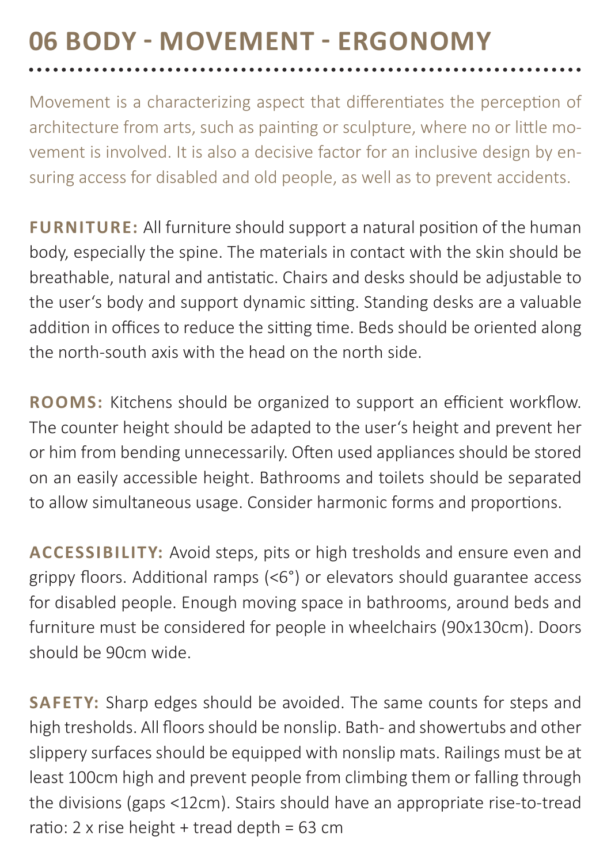### **06 BODY - MOVEMENT - ERGONOMY**

Movement is a characterizing aspect that differentiates the perception of architecture from arts, such as painting or sculpture, where no or little movement is involved. It is also a decisive factor for an inclusive design by ensuring access for disabled and old people, as well as to prevent accidents.

**FURNITURE:** All furniture should support a natural position of the human body, especially the spine. The materials in contact with the skin should be breathable, natural and antistatic. Chairs and desks should be adjustable to the user's body and support dynamic sitting. Standing desks are a valuable addition in offices to reduce the sitting time. Beds should be oriented along the north-south axis with the head on the north side.

**ROOMS:** Kitchens should be organized to support an efficient workflow. The counter height should be adapted to the user's height and prevent her or him from bending unnecessarily. Often used appliances should be stored on an easily accessible height. Bathrooms and toilets should be separated to allow simultaneous usage. Consider harmonic forms and proportions.

**ACCESSIBILITY:** Avoid steps, pits or high tresholds and ensure even and grippy floors. Additional ramps (<6°) or elevators should guarantee access for disabled people. Enough moving space in bathrooms, around beds and furniture must be considered for people in wheelchairs (90x130cm). Doors should be 90cm wide.

**SAFETY:** Sharp edges should be avoided. The same counts for steps and high tresholds. All floors should be nonslip. Bath- and showertubs and other slippery surfaces should be equipped with nonslip mats. Railings must be at least 100cm high and prevent people from climbing them or falling through the divisions (gaps <12cm). Stairs should have an appropriate rise-to-tread ratio: 2 x rise height + tread depth = 63 cm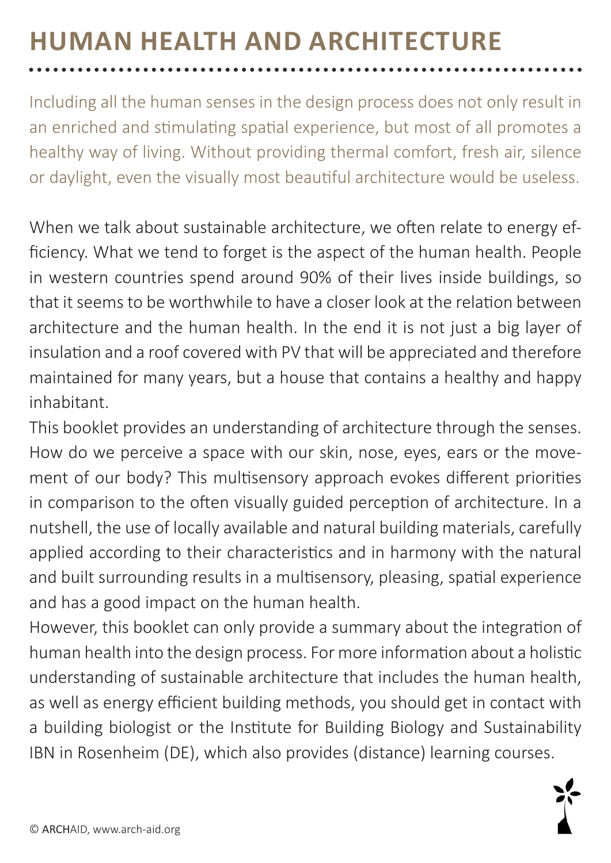### **HUMAN HEALTH AND ARCHITECTURE**

Including all the human senses in the design process does not only result in an enriched and stimulating spatial experience, but most of all promotes a healthy way of living. Without providing thermal comfort, fresh air, silence or daylight, even the visually most beautiful architecture would be useless.

When we talk about sustainable architecture, we often relate to energy efficiency. What we tend to forget is the aspect of the human health. People in western countries spend around 90% of their lives inside buildings, so that it seems to be worthwhile to have a closer look at the relation between architecture and the human health. In the end it is not just a big layer of insulation and a roof covered with PV that will be appreciated and therefore maintained for many years, but a house that contains a healthy and happy inhabitant.

This booklet provides an understanding of architecture through the senses. How do we perceive a space with our skin, nose, eyes, ears or the movement of our body? This multisensory approach evokes different priorities in comparison to the often visually guided perception of architecture. In a nutshell, the use of locally available and natural building materials, carefully applied according to their characteristics and in harmony with the natural and built surrounding results in a multisensory, pleasing, spatial experience and has a good impact on the human health.

However, this booklet can only provide a summary about the integration of human health into the design process. For more information about a holistic understanding of sustainable architecture that includes the human health, as well as energy efficient building methods, you should get in contact with a building biologist or the Institute for Building Biology and Sustainability IBN in Rosenheim (DE), which also provides (distance) learning courses.